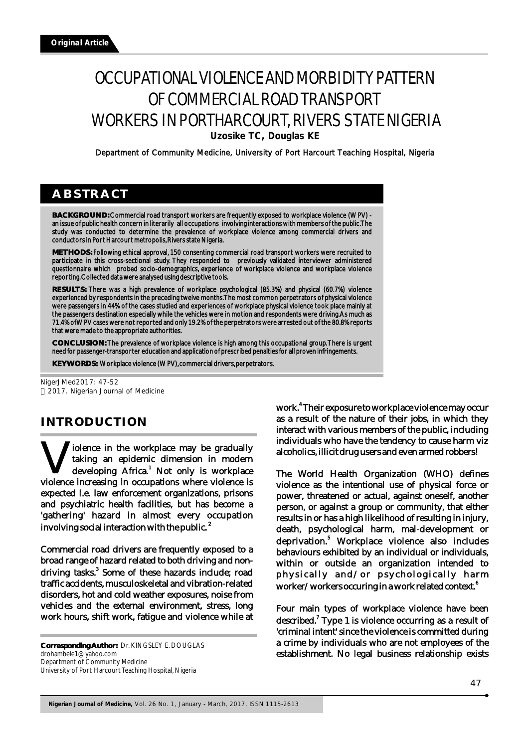# OCCUPATIONAL VIOLENCE AND MORBIDITY PATTERN OF COMMERCIAL ROAD TRANSPORT WORKERS IN PORTHARCOURT, RIVERS STATE NIGERIA **Uzosike TC, Douglas KE**

Department of Community Medicine, University of Port Harcourt Teaching Hospital, Nigeria

# **ABSTRACT**

**BACKGROUND:** Commercial road transport workers are frequently exposed to workplace violence (WPV) an issue of public health concern in literarily all occupations involving interactions with members of the public. The study was conducted to determine the prevalence of workplace violence among commercial drivers and conductors in Port Harcourt metropolis, Rivers state Nigeria.

**METHODS:** Following ethical approval, 150 consenting commercial road transport workers were recruited to participate in this cross-sectional study. They responded to previously validated interviewer administered questionnaire which probed socio-demographics, experience of workplace violence and workplace violence reporting. Collected data were analysed using descriptive tools.

**RESULTS:** There was a high prevalence of workplace psychological (85.3%) and physical (60.7%) violence experienced by respondents in the preceding twelve months. The most common perpetrators of physical violence were passengers in 44% of the cases studied and experiences of workplace physical violence took place mainly at the passengers destination especially while the vehicles were in motion and respondents were driving. As much as 71.4% of WPV cases were not reported and only 19.2% of the perpetrators were arrested out of the 80.8% reports that were made to the appropriate authorities.

**CONCLUSION:** The prevalence of workplace violence is high among this occupational group. There is urgent need for passenger-transporter education and application of prescribed penalties for all proven infringements.

**KEYWORDS:** Workplace violence (WPV), commercial drivers, perpetrators.

NigerJMed2017: 47-52 2017. Nigerian Journal of Medicine

# **INTRODUCTION**

iolence in the workplace may be gradually **W** taking an epidemic dimension in modern developing Africa.<sup>1</sup> Not only is workplace violence increasing in occupations where violence is developing Africa.<sup>1</sup> Not only is workplace expected i.e. law enforcement organizations, prisons and psychiatric health facilities, but has become a 'gathering' hazard in almost every occupation involving social interaction with the public.  $^{\text{2}}$ 

Commercial road drivers are frequently exposed to a broad range of hazard related to both driving and nondriving tasks.<sup>3</sup> Some of these hazards include; road traffic accidents, musculoskeletal and vibration-related disorders, hot and cold weather exposures, noise from vehicles and the external environment, stress, long work hours, shift work, fatigue and violence while at

**Corresponding Author:** Dr. KINGSLEY E. DOUGLAS drohambele1@yahoo.com Department of Community Medicine University of Port Harcourt Teaching Hospital, Nigeria

work.<sup>4</sup> Their exposure to workplace violence may occur as a result of the nature of their jobs, in which they interact with various members of the public, including individuals who have the tendency to cause harm viz alcoholics, illicit drug users and even armed robbers!

The World Health Organization (WHO) defines violence as the intentional use of physical force or power, threatened or actual, against oneself, another person, or against a group or community, that either results in or has a high likelihood of resulting in injury, death, psychological harm, mal-development or deprivation.<sup>5</sup> Workplace violence also includes behaviours exhibited by an individual or individuals, within or outside an organization intended to physically and/or psychologically harm worker/workers occuring in a work related context.<sup>6</sup>

Four main types of workplace violence have been described.<sup>7</sup> Type 1 is violence occurring as a result of 'criminal intent' since the violence is committed during a crime by individuals who are not employees of the establishment. No legal business relationship exists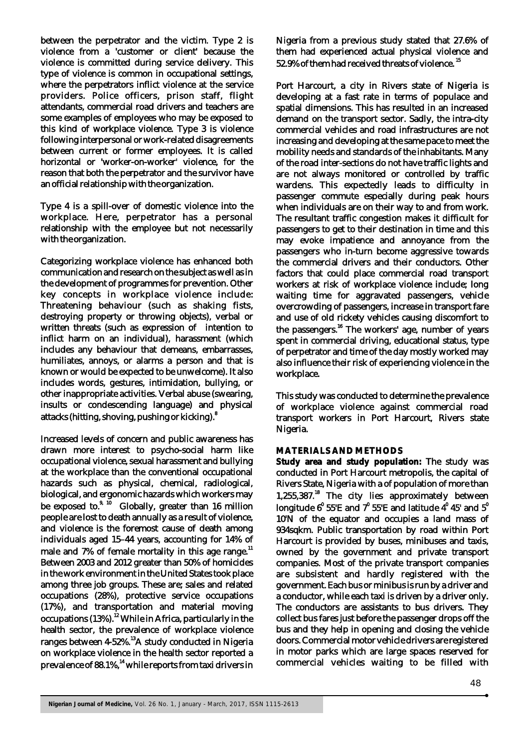between the perpetrator and the victim. Type 2 is violence from a 'customer or client' because the violence is committed during service delivery. This type of violence is common in occupational settings, where the perpetrators inflict violence at the service providers. Police officers, prison staff, flight attendants, commercial road drivers and teachers are some examples of employees who may be exposed to this kind of workplace violence. Type 3 is violence following interpersonal or work-related disagreements between current or former employees. It is called horizontal or 'worker-on-worker' violence, for the reason that both the perpetrator and the survivor have an official relationship with the organization.

Type 4 is a spill-over of domestic violence into the workplace. Here, perpetrator has a personal relationship with the employee but not necessarily with the organization.

Categorizing workplace violence has enhanced both communication and research on the subject as well as in the development of programmes for prevention. Other key concepts in workplace violence include: Threatening behaviour (such as shaking fists, destroying property or throwing objects), verbal or written threats (such as expression of intention to inflict harm on an individual), harassment (which includes any behaviour that demeans, embarrasses, humiliates, annoys, or alarms a person and that is known or would be expected to be unwelcome). It also includes words, gestures, intimidation, bullying, or other inappropriate activities. Verbal abuse (swearing, insults or condescending language) and physical 8 attacks (hitting, shoving, pushing or kicking).

Increased levels of concern and public awareness has drawn more interest to psycho-social harm like occupational violence, sexual harassment and bullying at the workplace than the conventional occupational hazards such as physical, chemical, radiological, biological, and ergonomic hazards which workers may be exposed to.<sup>9, 10</sup> Globally, greater than 16 million people are lost to death annually as a result of violence, and violence is the foremost cause of death among individuals aged 15–44 years, accounting for 14% of male and 7% of female mortality in this age range.<sup>11</sup> Between 2003 and 2012 greater than 50% of homicides in the work environment in the United States took place among three job groups. These are; sales and related occupations (28%), protective service occupations (17%), and transportation and material moving occupations (13%).<sup>12</sup> While in Africa, particularly in the health sector, the prevalence of workplace violence ranges between 4-52%.<sup>13</sup>A study conducted in Nigeria on workplace violence in the health sector reported a prevalence of 88.1%,<sup>14</sup> while reports from taxi drivers in

Nigeria from a previous study stated that 27.6% of them had experienced actual physical violence and 52.9% of them had received threats of violence.  $^{15}$ 

Port Harcourt, a city in Rivers state of Nigeria is developing at a fast rate in terms of populace and spatial dimensions. This has resulted in an increased demand on the transport sector. Sadly, the intra-city commercial vehicles and road infrastructures are not increasing and developing at the same pace to meet the mobility needs and standards of the inhabitants. Many of the road inter-sections do not have traffic lights and are not always monitored or controlled by traffic wardens. This expectedly leads to difficulty in passenger commute especially during peak hours when individuals are on their way to and from work. The resultant traffic congestion makes it difficult for passengers to get to their destination in time and this may evoke impatience and annoyance from the passengers who in-turn become aggressive towards the commercial drivers and their conductors. Other factors that could place commercial road transport workers at risk of workplace violence include; long waiting time for aggravated passengers, vehicle overcrowding of passengers, increase in transport fare and use of old rickety vehicles causing discomfort to the passengers.<sup>16</sup> The workers' age, number of years spent in commercial driving, educational status, type of perpetrator and time of the day mostly worked may also influence their risk of experiencing violence in the workplace.

This study was conducted to determine the prevalence of workplace violence against commercial road transport workers in Port Harcourt, Rivers state Nigeria.

### **MATERIALS AND METHODS**

**Study area and study population:** The study was conducted in Port Harcourt metropolis, the capital of Rivers State, Nigeria with a of population of more than  $1,255,387$ .<sup>18</sup> The city lies approximately between longitude  $6^{\text{o}}$  55'E and  $7^{\text{o}}$  55'E and latitude  $4^{\text{o}}$  45' and  $5^{\text{o}}$ 10'N of the equator and occupies a land mass of 934sqkm. Public transportation by road within Port Harcourt is provided by buses, minibuses and taxis, owned by the government and private transport companies. Most of the private transport companies are subsistent and hardly registered with the government. Each bus or minibus is run by a driver and a conductor, while each taxi is driven by a driver only. The conductors are assistants to bus drivers. They collect bus fares just before the passenger drops off the bus and they help in opening and closing the vehicle doors. Commercial motor vehicle drivers are registered in motor parks which are large spaces reserved for commercial vehicles waiting to be filled with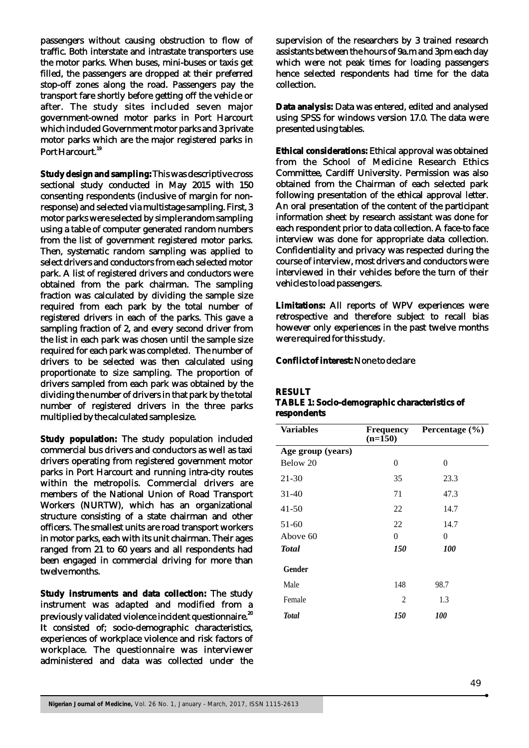passengers without causing obstruction to flow of traffic. Both interstate and intrastate transporters use the motor parks. When buses, mini-buses or taxis get filled, the passengers are dropped at their preferred stop-off zones along the road. Passengers pay the transport fare shortly before getting off the vehicle or after. The study sites included seven major government-owned motor parks in Port Harcourt which included Government motor parks and 3 private motor parks which are the major registered parks in Port Harcourt.<sup>19</sup>

**Study design and sampling:** This was descriptive cross sectional study conducted in May 2015 with 150 consenting respondents (inclusive of margin for nonresponse) and selected via multistage sampling. First, 3 motor parks were selected by simple random sampling using a table of computer generated random numbers from the list of government registered motor parks. Then, systematic random sampling was applied to select drivers and conductors from each selected motor park. A list of registered drivers and conductors were obtained from the park chairman. The sampling fraction was calculated by dividing the sample size required from each park by the total number of registered drivers in each of the parks. This gave a sampling fraction of 2, and every second driver from the list in each park was chosen until the sample size required for each park was completed. The number of drivers to be selected was then calculated using proportionate to size sampling. The proportion of drivers sampled from each park was obtained by the dividing the number of drivers in that park by the total number of registered drivers in the three parks multiplied by the calculated sample size.

**Study population:** The study population included commercial bus drivers and conductors as well as taxi drivers operating from registered government motor parks in Port Harcourt and running intra-city routes within the metropolis. Commercial drivers are members of the National Union of Road Transport Workers (NURTW), which has an organizational structure consisting of a state chairman and other officers. The smallest units are road transport workers in motor parks, each with its unit chairman. Their ages ranged from 21 to 60 years and all respondents had been engaged in commercial driving for more than twelve months.

**Study instruments and data collection:** The study instrument was adapted and modified from a previously validated violence incident questionnaire.<sup>20</sup> It consisted of; socio-demographic characteristics, experiences of workplace violence and risk factors of workplace. The questionnaire was interviewer administered and data was collected under the

supervision of the researchers by 3 trained research assistants between the hours of 9a.m and 3pm each day which were not peak times for loading passengers hence selected respondents had time for the data collection.

**Data analysis:** Data was entered, edited and analysed using SPSS for windows version 17.0. The data were presented using tables.

**Ethical considerations:** Ethical approval was obtained from the School of Medicine Research Ethics Committee, Cardiff University. Permission was also obtained from the Chairman of each selected park following presentation of the ethical approval letter. An oral presentation of the content of the participant information sheet by research assistant was done for each respondent prior to data collection. A face-to face interview was done for appropriate data collection. Confidentiality and privacy was respected during the course of interview, most drivers and conductors were interviewed in their vehicles before the turn of their vehicles to load passengers.

**Limitations:** All reports of WPV experiences were retrospective and therefore subject to recall bias however only experiences in the past twelve months were required for this study.

### **Conflict of interest:** None to declare

#### **RESULT**

#### **TABLE 1: Socio-demographic characteristics of respondents**

| <b>Variables</b>  | <b>Frequency</b><br>$(n=150)$ | Percentage (%) |
|-------------------|-------------------------------|----------------|
| Age group (years) |                               |                |
| Below 20          | $\overline{0}$                | $\theta$       |
| 21-30             | 35                            | 23.3           |
| $31 - 40$         | 71                            | 47.3           |
| $41 - 50$         | 22                            | 14.7           |
| 51-60             | 22                            | 14.7           |
| Above 60          | $\theta$                      | $\theta$       |
| <b>Total</b>      | <i>150</i>                    | <i>100</i>     |
| Gender            |                               |                |
| Male              | 148                           | 98.7           |
| Female            | 2                             | 1.3            |
| <b>Total</b>      | <i>150</i>                    | <i>100</i>     |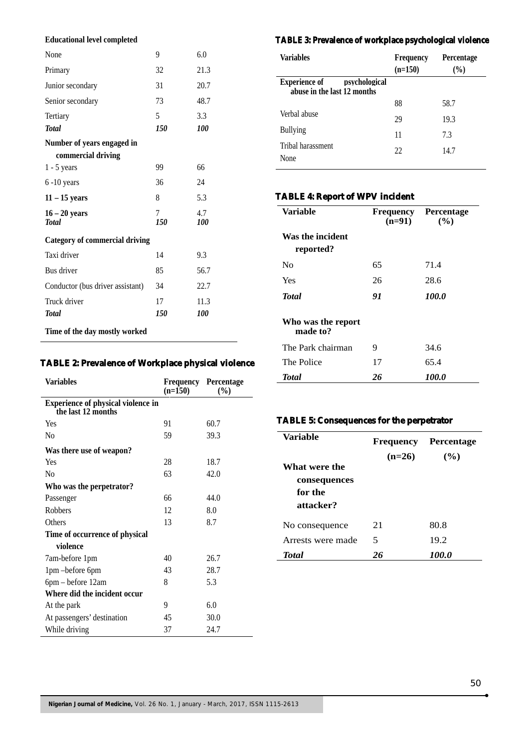#### **Educational level completed**

| None                                  | 9        | 6.0        |
|---------------------------------------|----------|------------|
| Primary                               | 32       | 21.3       |
| Junior secondary                      | 31       | 20.7       |
| Senior secondary                      | 73       | 48.7       |
| Tertiary                              | 5        | 3.3        |
| <b>Total</b>                          | 150      | 100        |
| Number of years engaged in            |          |            |
| commercial driving                    |          |            |
| $1 - 5$ years                         | 99       | 66         |
| $6 - 10$ years                        | 36       | 24         |
| $11 - 15$ years                       | 8        | 5.3        |
| $16 - 20$ years<br><b>Total</b>       | 7<br>150 | 4.7<br>100 |
| <b>Category of commercial driving</b> |          |            |
| Taxi driver                           | 14       | 9.3        |
| Bus driver                            | 85       | 56.7       |
| Conductor (bus driver assistant)      | 34       | 22.7       |
| Truck driver                          | 17       | 11.3       |
| <b>Total</b>                          | 150      | 100        |
| Time of the day mostly worked         |          |            |

### **TABLE 2: Prevalence of Workplace physical violence**

| <b>Variables</b>                                                | Frequency<br>$(n=150)$ | Percentage<br>$(\%)$ |
|-----------------------------------------------------------------|------------------------|----------------------|
| <b>Experience of physical violence in</b><br>the last 12 months |                        |                      |
| Yes                                                             | 91                     | 60.7                 |
| N <sub>0</sub>                                                  | 59                     | 39.3                 |
| Was there use of weapon?                                        |                        |                      |
| Yes                                                             | 28                     | 18.7                 |
| Nο                                                              | 63                     | 42.0                 |
| Who was the perpetrator?                                        |                        |                      |
| Passenger                                                       | 66                     | 44.0                 |
| <b>Robbers</b>                                                  | 12                     | 8.0                  |
| Others                                                          | 13                     | 8.7                  |
| Time of occurrence of physical                                  |                        |                      |
| violence                                                        |                        |                      |
| 7am-before 1pm                                                  | 40                     | 26.7                 |
| 1pm -before 6pm                                                 | 43                     | 28.7                 |
| 6pm – before 12am                                               | 8                      | 5.3                  |
| Where did the incident occur                                    |                        |                      |
| At the park                                                     | 9                      | 6.0                  |
| At passengers' destination                                      | 45                     | 30.0                 |
| While driving                                                   | 37                     | 24.7                 |

# **TABLE 3: Prevalence of workplace psychological violence**

| <b>Variables</b>                                                     | <b>Frequency</b><br>$(n=150)$ | <b>Percentage</b><br>(9/0) |
|----------------------------------------------------------------------|-------------------------------|----------------------------|
| <b>Experience of</b><br>psychological<br>abuse in the last 12 months |                               |                            |
|                                                                      | 88                            | 58.7                       |
| Verbal abuse                                                         | 29                            | 19.3                       |
| <b>Bullying</b>                                                      | 11                            | 7.3                        |
| Tribal harassment<br>None                                            | 22                            | 14.7                       |

# **TABLE 4: Report of WPV incident**

| Variable                       | Frequency<br>$(n=91)$ | Percentage<br>(%) |
|--------------------------------|-----------------------|-------------------|
| Was the incident<br>reported?  |                       |                   |
| Nο                             | 65                    | 71.4              |
| Yes                            | 26                    | 28.6              |
| <b>Total</b>                   | 91                    | 100.0             |
| Who was the report<br>made to? |                       |                   |
| The Park chairman              | 9                     | 34.6              |
| The Police                     | 17                    | 65.4              |
| <b>Total</b>                   | 26                    | <i>100.0</i>      |

### **TABLE 5: Consequences for the perpetrator**

| Variable          | <b>Frequency</b> | <b>Percentage</b> |
|-------------------|------------------|-------------------|
|                   | $(n=26)$         | (%)               |
| What were the     |                  |                   |
| consequences      |                  |                   |
| for the           |                  |                   |
| attacker?         |                  |                   |
| No consequence    | 21               | 80.8              |
| Arrests were made | 5                | 19.2              |
| <b>Total</b>      | 26               | 100.0             |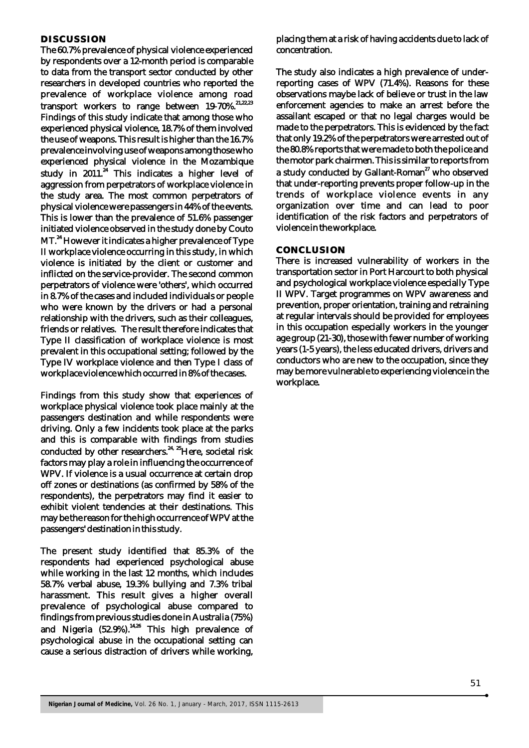#### **DISCUSSION**

The 60.7% prevalence of physical violence experienced by respondents over a 12-month period is comparable to data from the transport sector conducted by other researchers in developed countries who reported the prevalence of workplace violence among road transport workers to range between  $19-70\%$ .<sup>21,22,23</sup> Findings of this study indicate that among those who experienced physical violence, 18.7% of them involved the use of weapons. This result is higher than the 16.7% prevalence involving use of weapons among those who experienced physical violence in the Mozambique study in  $2011$ .<sup>24</sup> This indicates a higher level of aggression from perpetrators of workplace violence in the study area. The most common perpetrators of physical violence were passengers in 44% of the events. This is lower than the prevalence of 51.6% passenger initiated violence observed in the study done by Couto MT.<sup>24</sup> However it indicates a higher prevalence of Type II workplace violence occurring in this study, in which violence is initiated by the client or customer and inflicted on the service-provider. The second common perpetrators of violence were 'others', which occurred in 8.7% of the cases and included individuals or people who were known by the drivers or had a personal relationship with the drivers, such as their colleagues, friends or relatives. The result therefore indicates that Type II classification of workplace violence is most prevalent in this occupational setting; followed by the Type IV workplace violence and then Type I class of workplace violence which occurred in 8% of the cases.

Findings from this study show that experiences of workplace physical violence took place mainly at the passengers destination and while respondents were driving. Only a few incidents took place at the parks and this is comparable with findings from studies conducted by other researchers.<sup>24, 25</sup>Here, societal risk factors may play a role in influencing the occurrence of WPV. If violence is a usual occurrence at certain drop off zones or destinations (as confirmed by 58% of the respondents), the perpetrators may find it easier to exhibit violent tendencies at their destinations. This may be the reason for the high occurrence of WPV at the passengers' destination in this study.

The present study identified that 85.3% of the respondents had experienced psychological abuse while working in the last 12 months, which includes 58.7% verbal abuse, 19.3% bullying and 7.3% tribal harassment. This result gives a higher overall prevalence of psychological abuse compared to findings from previous studies done in Australia (75%) and Nigeria  $(52.9\%)$ .<sup>14,26</sup> This high prevalence of psychological abuse in the occupational setting can cause a serious distraction of drivers while working,

placing them at a risk of having accidents due to lack of concentration.

The study also indicates a high prevalence of underreporting cases of WPV (71.4%). Reasons for these observations maybe lack of believe or trust in the law enforcement agencies to make an arrest before the assailant escaped or that no legal charges would be made to the perpetrators. This is evidenced by the fact that only 19.2% of the perpetrators were arrested out of the 80.8% reports that were made to both the police and the motor park chairmen. This is similar to reports from a study conducted by Gallant-Roman<sup>27</sup> who observed that under-reporting prevents proper follow-up in the trends of workplace violence events in any organization over time and can lead to poor identification of the risk factors and perpetrators of violence in the workplace.

#### **CONCLUSION**

There is increased vulnerability of workers in the transportation sector in Port Harcourt to both physical and psychological workplace violence especially Type II WPV. Target programmes on WPV awareness and prevention, proper orientation, training and retraining at regular intervals should be provided for employees in this occupation especially workers in the younger age group (21-30), those with fewer number of working years (1-5 years), the less educated drivers, drivers and conductors who are new to the occupation, since they may be more vulnerable to experiencing violence in the workplace.